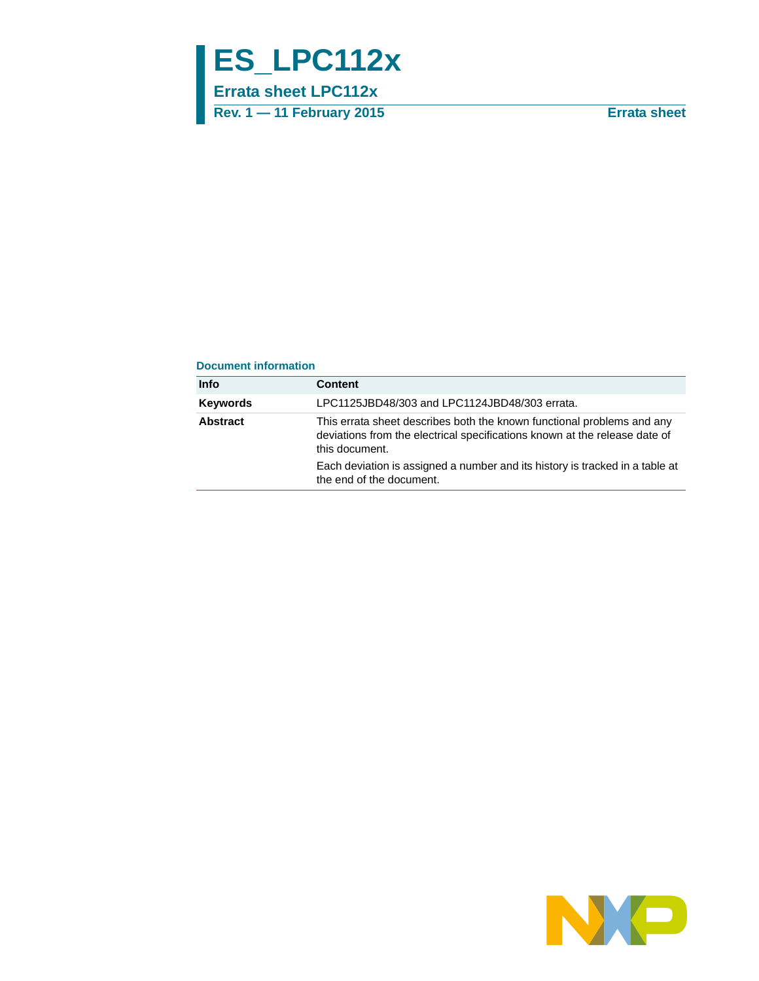# **ES\_LPC112x**

**Errata sheet LPC112x**

**Rev. 1 — 11 February 2015 Errata sheet**

#### **Document information**

| <b>Content</b>                                                                                                                                                         |
|------------------------------------------------------------------------------------------------------------------------------------------------------------------------|
| LPC1125JBD48/303 and LPC1124JBD48/303 errata.                                                                                                                          |
| This errata sheet describes both the known functional problems and any<br>deviations from the electrical specifications known at the release date of<br>this document. |
| Each deviation is assigned a number and its history is tracked in a table at<br>the end of the document.                                                               |
|                                                                                                                                                                        |

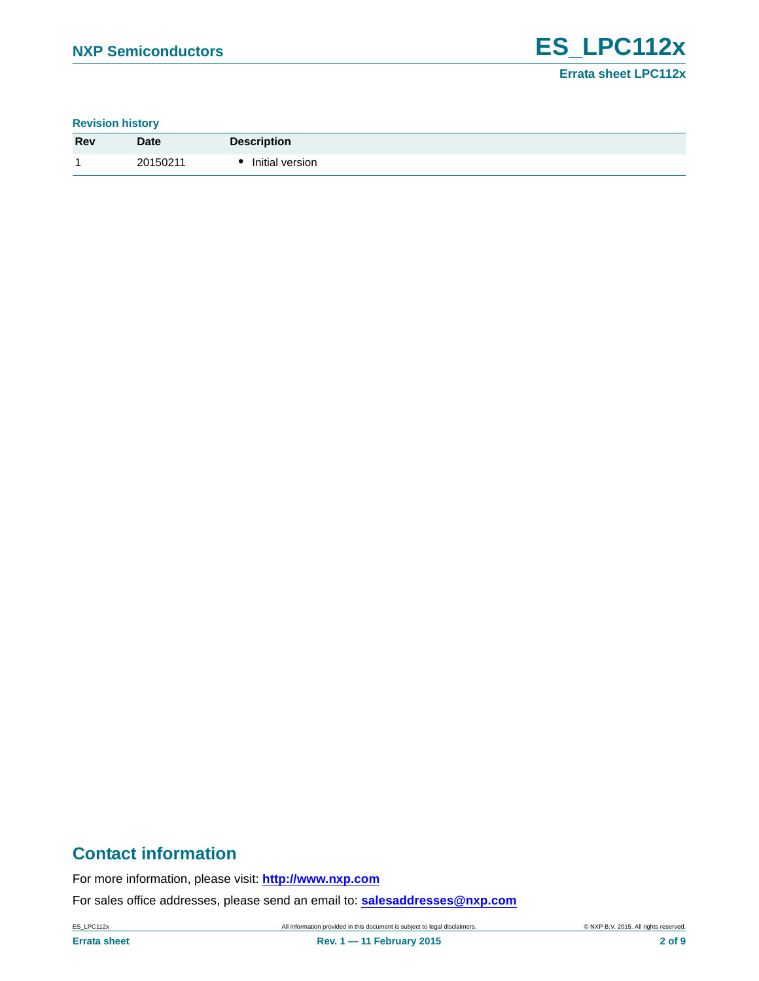**Revision history**

| Rev | <b>Date</b> | <b>Description</b> |
|-----|-------------|--------------------|
|     | 20150211    | Initial version    |

# **Contact information**

For more information, please visit: **http://www.nxp.com**

For sales office addresses, please send an email to: **salesaddresses@nxp.com**

ES\_LPC112x All information provided in this document is subject to legal disclaimers. © NXP B.V. 2015. All rights reserved.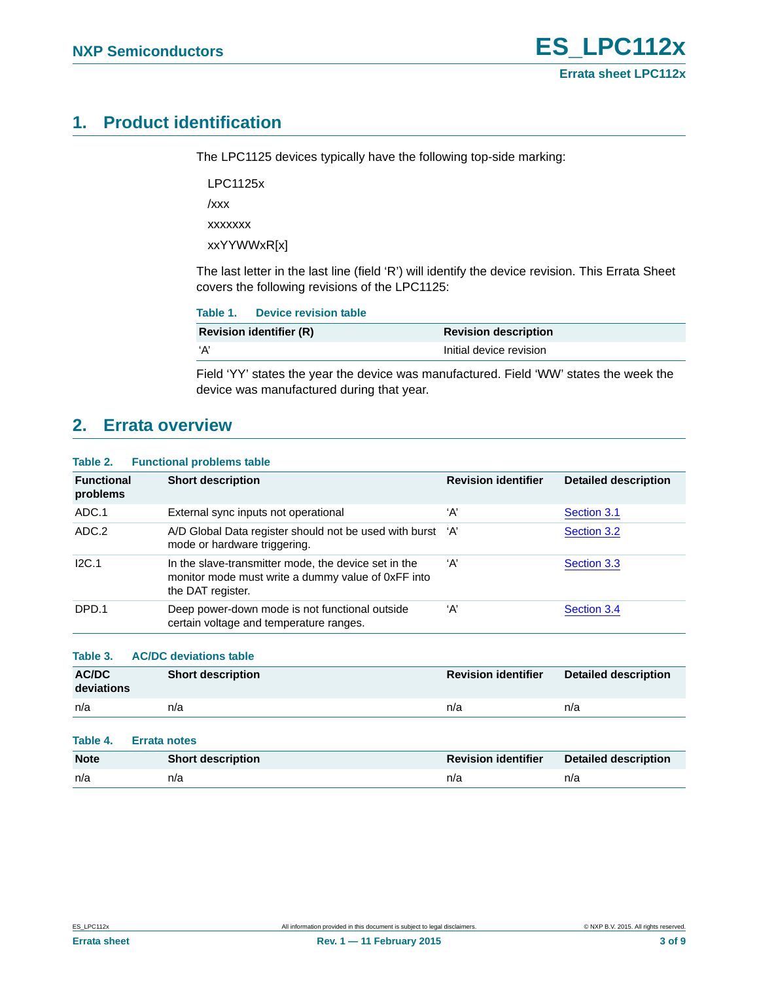# <span id="page-2-0"></span>**1. Product identification**

The LPC1125 devices typically have the following top-side marking:

LPC1125x

/xxx

xxxxxxx

xxYYWWxR[x]

The last letter in the last line (field 'R') will identify the device revision. This Errata Sheet covers the following revisions of the LPC1125:

| Table 1. Device revision table |                             |
|--------------------------------|-----------------------------|
| <b>Revision identifier (R)</b> | <b>Revision description</b> |
| ʻA'                            | Initial device revision     |

Field 'YY' states the year the device was manufactured. Field 'WW' states the week the device was manufactured during that year.

# <span id="page-2-1"></span>**2. Errata overview**

#### **Table 2. Functional problems table**

| <b>Functional</b><br>problems | <b>Short description</b>                                                                                                        | <b>Revision identifier</b> | <b>Detailed description</b> |
|-------------------------------|---------------------------------------------------------------------------------------------------------------------------------|----------------------------|-----------------------------|
| ADC.1                         | External sync inputs not operational                                                                                            | ʻA'                        | Section 3.1                 |
| ADC.2                         | A/D Global Data register should not be used with burst 'A'<br>mode or hardware triggering.                                      |                            | Section 3.2                 |
| IC.1                          | In the slave-transmitter mode, the device set in the<br>monitor mode must write a dummy value of 0xFF into<br>the DAT register. | ʻA'                        | Section 3.3                 |
| DPD.1                         | Deep power-down mode is not functional outside<br>certain voltage and temperature ranges.                                       | ʻA'                        | Section 3.4                 |

**Table 3. AC/DC deviations table**

| <b>AC/DC</b><br>deviations | <b>Short description</b> | <b>Revision identifier</b> | <b>Detailed description</b> |
|----------------------------|--------------------------|----------------------------|-----------------------------|
| n/a                        | n/a                      | n/a                        | n/a                         |

#### **Table 4. Errata notes**

| <b>Note</b> | <b>Short description</b> | <b>Revision identifier</b> | <b>Detailed description</b> |
|-------------|--------------------------|----------------------------|-----------------------------|
| n/a         | n/a                      | n/a                        | n/a                         |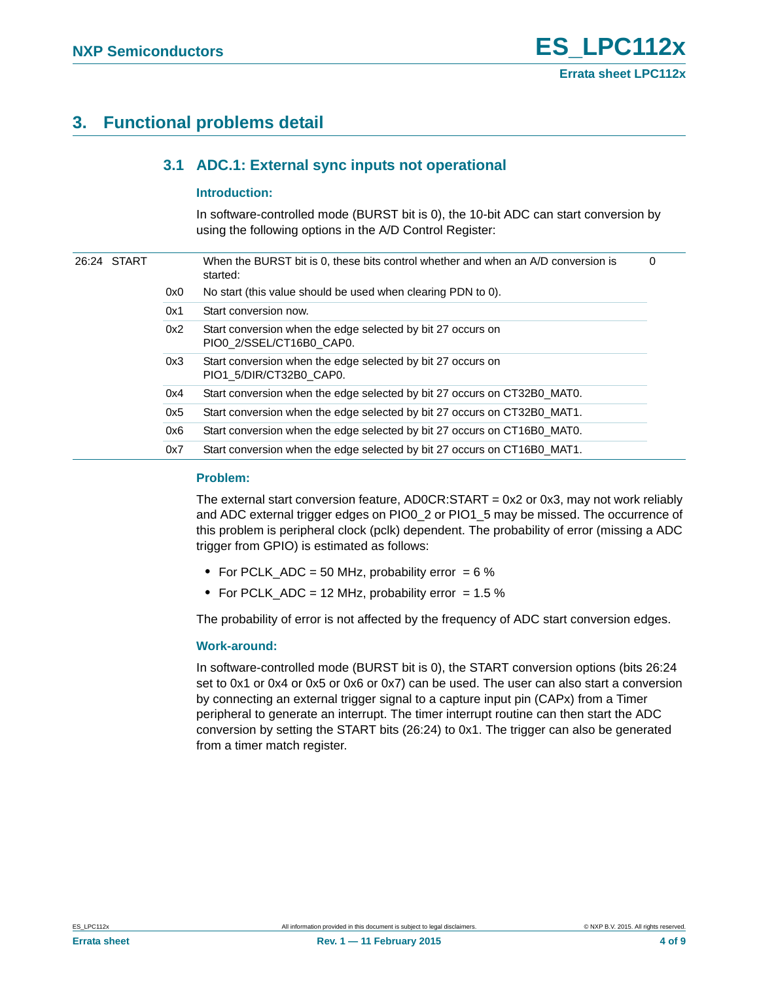# <span id="page-3-1"></span><span id="page-3-0"></span>**3. Functional problems detail**

### **3.1 ADC.1: External sync inputs not operational**

#### <span id="page-3-2"></span>**Introduction:**

In software-controlled mode (BURST bit is 0), the 10-bit ADC can start conversion by using the following options in the A/D Control Register:

|  | 26:24 START |     | When the BURST bit is 0, these bits control whether and when an A/D conversion is<br>started: | 0 |
|--|-------------|-----|-----------------------------------------------------------------------------------------------|---|
|  |             | 0x0 | No start (this value should be used when clearing PDN to 0).                                  |   |
|  |             | 0x1 | Start conversion now.                                                                         |   |
|  |             | 0x2 | Start conversion when the edge selected by bit 27 occurs on<br>PIO0 2/SSEL/CT16B0 CAP0.       |   |
|  |             | 0x3 | Start conversion when the edge selected by bit 27 occurs on<br>PIO1 5/DIR/CT32B0 CAP0.        |   |
|  |             | 0x4 | Start conversion when the edge selected by bit 27 occurs on CT32B0 MAT0.                      |   |
|  |             | 0x5 | Start conversion when the edge selected by bit 27 occurs on CT32B0_MAT1.                      |   |
|  |             | 0x6 | Start conversion when the edge selected by bit 27 occurs on CT16B0 MAT0.                      |   |
|  |             | 0x7 | Start conversion when the edge selected by bit 27 occurs on CT16B0 MAT1.                      |   |
|  |             |     |                                                                                               |   |

#### <span id="page-3-3"></span>**Problem:**

The external start conversion feature, AD0CR:START = 0x2 or 0x3, may not work reliably and ADC external trigger edges on PIO0\_2 or PIO1\_5 may be missed. The occurrence of this problem is peripheral clock (pclk) dependent. The probability of error (missing a ADC trigger from GPIO) is estimated as follows:

- **•** For PCLK\_ADC = 50 MHz, probability error = 6 %
- For PCLK\_ADC = 12 MHz, probability error = 1.5 %

The probability of error is not affected by the frequency of ADC start conversion edges.

#### <span id="page-3-4"></span>**Work-around:**

In software-controlled mode (BURST bit is 0), the START conversion options (bits 26:24 set to 0x1 or 0x4 or 0x5 or 0x6 or 0x7) can be used. The user can also start a conversion by connecting an external trigger signal to a capture input pin (CAPx) from a Timer peripheral to generate an interrupt. The timer interrupt routine can then start the ADC conversion by setting the START bits (26:24) to 0x1. The trigger can also be generated from a timer match register.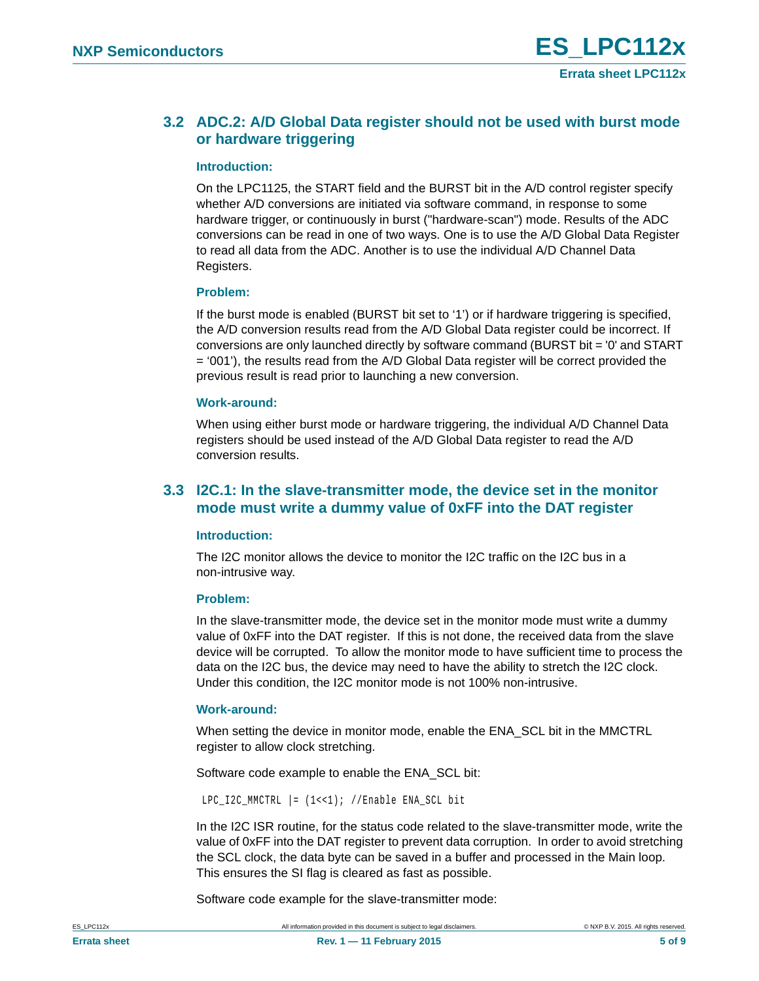### <span id="page-4-0"></span>**3.2 ADC.2: A/D Global Data register should not be used with burst mode or hardware triggering**

#### <span id="page-4-2"></span>**Introduction:**

On the LPC1125, the START field and the BURST bit in the A/D control register specify whether A/D conversions are initiated via software command, in response to some hardware trigger, or continuously in burst ("hardware-scan") mode. Results of the ADC conversions can be read in one of two ways. One is to use the A/D Global Data Register to read all data from the ADC. Another is to use the individual A/D Channel Data Registers.

#### <span id="page-4-3"></span>**Problem:**

If the burst mode is enabled (BURST bit set to '1') or if hardware triggering is specified, the A/D conversion results read from the A/D Global Data register could be incorrect. If conversions are only launched directly by software command (BURST bit = '0' and START = '001'), the results read from the A/D Global Data register will be correct provided the previous result is read prior to launching a new conversion.

#### <span id="page-4-4"></span>**Work-around:**

When using either burst mode or hardware triggering, the individual A/D Channel Data registers should be used instead of the A/D Global Data register to read the A/D conversion results.

### <span id="page-4-1"></span>**3.3 I2C.1: In the slave-transmitter mode, the device set in the monitor mode must write a dummy value of 0xFF into the DAT register**

#### <span id="page-4-5"></span>**Introduction:**

The I2C monitor allows the device to monitor the I2C traffic on the I2C bus in a non-intrusive way.

#### <span id="page-4-6"></span>**Problem:**

In the slave-transmitter mode, the device set in the monitor mode must write a dummy value of 0xFF into the DAT register. If this is not done, the received data from the slave device will be corrupted. To allow the monitor mode to have sufficient time to process the data on the I2C bus, the device may need to have the ability to stretch the I2C clock. Under this condition, the I2C monitor mode is not 100% non-intrusive.

#### <span id="page-4-7"></span>**Work-around:**

When setting the device in monitor mode, enable the ENA\_SCL bit in the MMCTRL register to allow clock stretching.

Software code example to enable the ENA\_SCL bit:

LPC\_I2C\_MMCTRL  $| = (1 \lt 1);$  //Enable ENA\_SCL bit

In the I2C ISR routine, for the status code related to the slave-transmitter mode, write the value of 0xFF into the DAT register to prevent data corruption. In order to avoid stretching the SCL clock, the data byte can be saved in a buffer and processed in the Main loop. This ensures the SI flag is cleared as fast as possible.

Software code example for the slave-transmitter mode: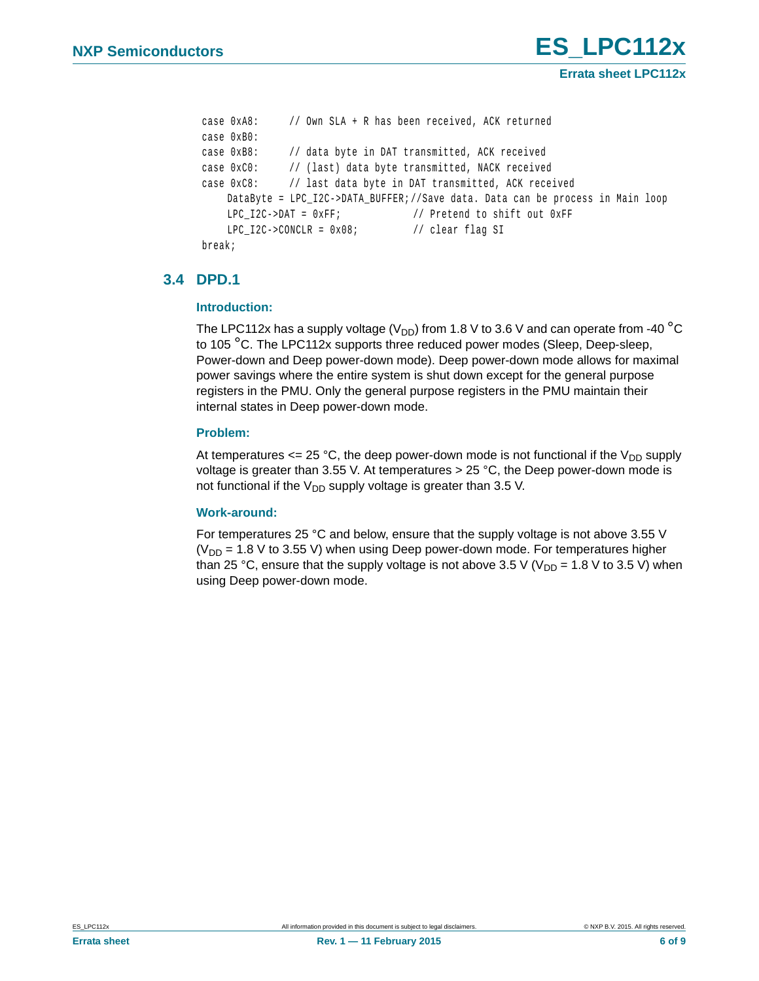```
 case 0xA8: // Own SLA + R has been received, ACK returned 
case 0xB0:
case 0xB8: // data byte in DAT transmitted, ACK received
case 0xC0: // (last) data byte transmitted, NACK received
case 0xC8: // last data byte in DAT transmitted, ACK received
  DataByte = LPC_I2C->DATA_BUFFER;//Save data. Data can be process in Main loop
   LPC I2C->DAT = 0xFF; // Pretend to shift out 0xFF
   LPC_I2C->CONCLR = 0x08; // clear flag SI
```

```
 break;
```
### <span id="page-5-0"></span>**3.4 DPD.1**

#### <span id="page-5-1"></span>**Introduction:**

The LPC112x has a supply voltage  $(V_{DD})$  from 1.8 V to 3.6 V and can operate from -40  $^{\circ}$ C to 105 °C. The LPC112x supports three reduced power modes (Sleep, Deep-sleep, Power-down and Deep power-down mode). Deep power-down mode allows for maximal power savings where the entire system is shut down except for the general purpose registers in the PMU. Only the general purpose registers in the PMU maintain their internal states in Deep power-down mode.

#### <span id="page-5-2"></span>**Problem:**

At temperatures  $\leq$  25 °C, the deep power-down mode is not functional if the V<sub>DD</sub> supply voltage is greater than 3.55 V. At temperatures  $>$  25 °C, the Deep power-down mode is not functional if the  $V_{DD}$  supply voltage is greater than 3.5 V.

#### <span id="page-5-3"></span>**Work-around:**

For temperatures 25 °C and below, ensure that the supply voltage is not above 3.55 V ( $V_{DD}$  = 1.8 V to 3.55 V) when using Deep power-down mode. For temperatures higher than 25 °C, ensure that the supply voltage is not above 3.5 V ( $V_{DD}$  = 1.8 V to 3.5 V) when using Deep power-down mode.

**Errata sheet LPC112x**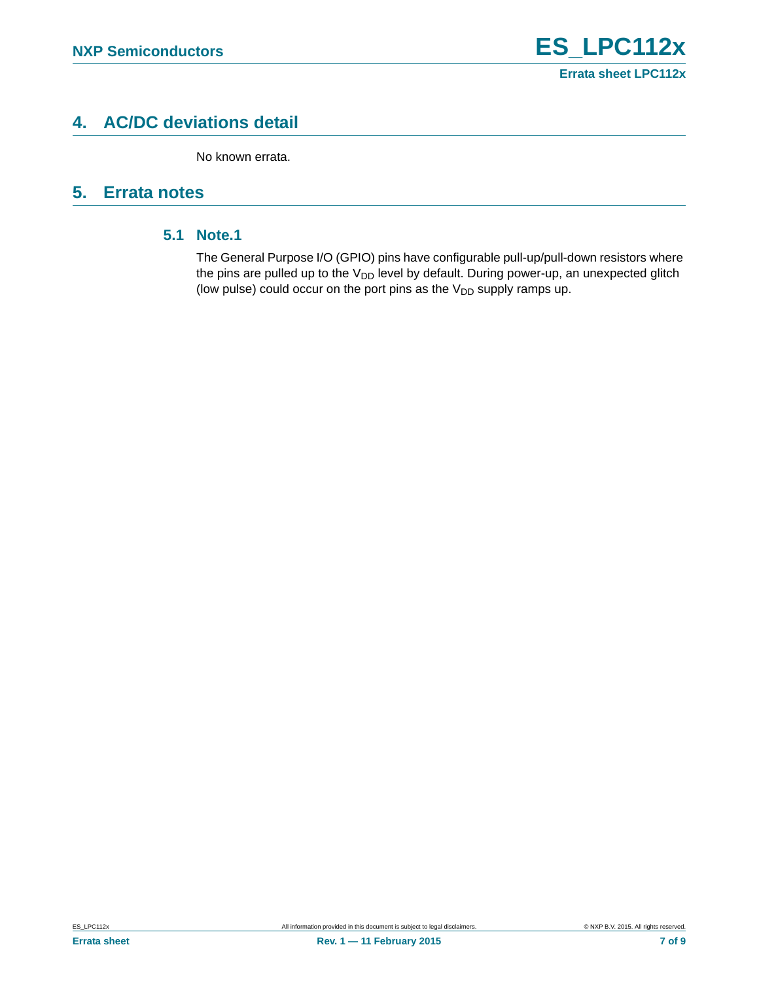# <span id="page-6-0"></span>**4. AC/DC deviations detail**

No known errata.

# <span id="page-6-2"></span><span id="page-6-1"></span>**5. Errata notes**

### **5.1 Note.1**

The General Purpose I/O (GPIO) pins have configurable pull-up/pull-down resistors where the pins are pulled up to the  $V_{DD}$  level by default. During power-up, an unexpected glitch (low pulse) could occur on the port pins as the  $V_{DD}$  supply ramps up.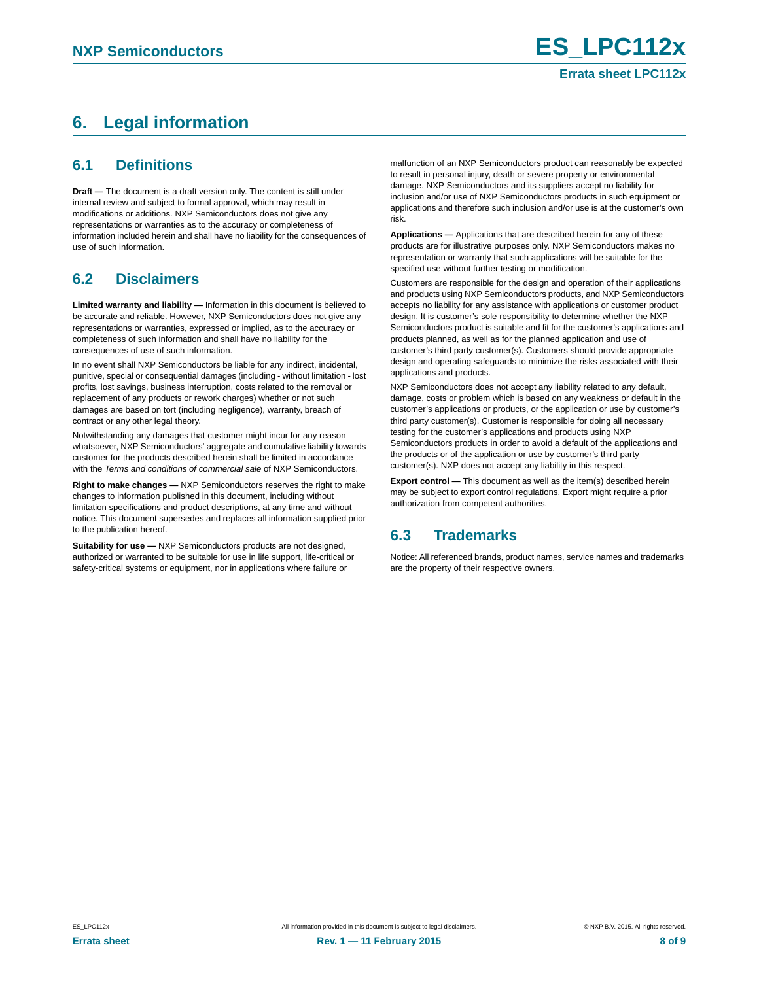# <span id="page-7-0"></span>**6. Legal information**

### <span id="page-7-1"></span>**6.1 Definitions**

**Draft —** The document is a draft version only. The content is still under internal review and subject to formal approval, which may result in modifications or additions. NXP Semiconductors does not give any representations or warranties as to the accuracy or completeness of information included herein and shall have no liability for the consequences of use of such information.

## <span id="page-7-2"></span>**6.2 Disclaimers**

**Limited warranty and liability —** Information in this document is believed to be accurate and reliable. However, NXP Semiconductors does not give any representations or warranties, expressed or implied, as to the accuracy or completeness of such information and shall have no liability for the consequences of use of such information.

In no event shall NXP Semiconductors be liable for any indirect, incidental, punitive, special or consequential damages (including - without limitation - lost profits, lost savings, business interruption, costs related to the removal or replacement of any products or rework charges) whether or not such damages are based on tort (including negligence), warranty, breach of contract or any other legal theory.

Notwithstanding any damages that customer might incur for any reason whatsoever, NXP Semiconductors' aggregate and cumulative liability towards customer for the products described herein shall be limited in accordance with the *Terms and conditions of commercial sale* of NXP Semiconductors.

**Right to make changes —** NXP Semiconductors reserves the right to make changes to information published in this document, including without limitation specifications and product descriptions, at any time and without notice. This document supersedes and replaces all information supplied prior to the publication hereof.

**Suitability for use —** NXP Semiconductors products are not designed, authorized or warranted to be suitable for use in life support, life-critical or safety-critical systems or equipment, nor in applications where failure or

malfunction of an NXP Semiconductors product can reasonably be expected to result in personal injury, death or severe property or environmental damage. NXP Semiconductors and its suppliers accept no liability for inclusion and/or use of NXP Semiconductors products in such equipment or applications and therefore such inclusion and/or use is at the customer's own risk.

**Applications —** Applications that are described herein for any of these products are for illustrative purposes only. NXP Semiconductors makes no representation or warranty that such applications will be suitable for the specified use without further testing or modification.

Customers are responsible for the design and operation of their applications and products using NXP Semiconductors products, and NXP Semiconductors accepts no liability for any assistance with applications or customer product design. It is customer's sole responsibility to determine whether the NXP Semiconductors product is suitable and fit for the customer's applications and products planned, as well as for the planned application and use of customer's third party customer(s). Customers should provide appropriate design and operating safeguards to minimize the risks associated with their applications and products.

NXP Semiconductors does not accept any liability related to any default, damage, costs or problem which is based on any weakness or default in the customer's applications or products, or the application or use by customer's third party customer(s). Customer is responsible for doing all necessary testing for the customer's applications and products using NXP Semiconductors products in order to avoid a default of the applications and the products or of the application or use by customer's third party customer(s). NXP does not accept any liability in this respect.

**Export control —** This document as well as the item(s) described herein may be subject to export control regulations. Export might require a prior authorization from competent authorities.

### <span id="page-7-3"></span>**6.3 Trademarks**

Notice: All referenced brands, product names, service names and trademarks are the property of their respective owners.